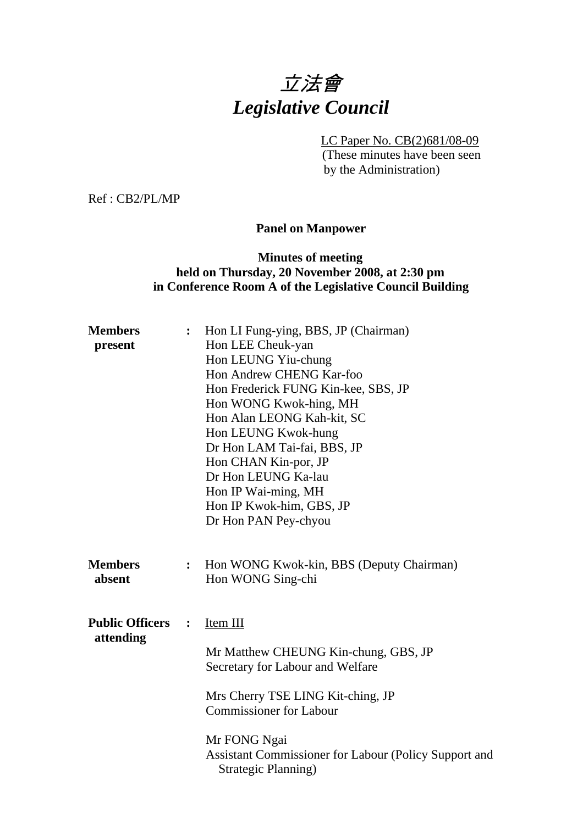# 立法會 *Legislative Council*

LC Paper No. CB(2)681/08-09

(These minutes have been seen by the Administration)

Ref : CB2/PL/MP

### **Panel on Manpower**

### **Minutes of meeting held on Thursday, 20 November 2008, at 2:30 pm in Conference Room A of the Legislative Council Building**

| <b>Members</b><br>present           | :              | Hon LI Fung-ying, BBS, JP (Chairman)<br>Hon LEE Cheuk-yan<br>Hon LEUNG Yiu-chung<br>Hon Andrew CHENG Kar-foo<br>Hon Frederick FUNG Kin-kee, SBS, JP                                                                                                         |
|-------------------------------------|----------------|-------------------------------------------------------------------------------------------------------------------------------------------------------------------------------------------------------------------------------------------------------------|
|                                     |                | Hon WONG Kwok-hing, MH<br>Hon Alan LEONG Kah-kit, SC<br>Hon LEUNG Kwok-hung<br>Dr Hon LAM Tai-fai, BBS, JP<br>Hon CHAN Kin-por, JP<br>Dr Hon LEUNG Ka-lau<br>Hon IP Wai-ming, MH<br>Hon IP Kwok-him, GBS, JP<br>Dr Hon PAN Pey-chyou                        |
| <b>Members</b><br>absent            | :              | Hon WONG Kwok-kin, BBS (Deputy Chairman)<br>Hon WONG Sing-chi                                                                                                                                                                                               |
| <b>Public Officers</b><br>attending | $\ddot{\cdot}$ | Item III<br>Mr Matthew CHEUNG Kin-chung, GBS, JP<br>Secretary for Labour and Welfare<br>Mrs Cherry TSE LING Kit-ching, JP<br><b>Commissioner for Labour</b><br>Mr FONG Ngai<br>Assistant Commissioner for Labour (Policy Support and<br>Strategic Planning) |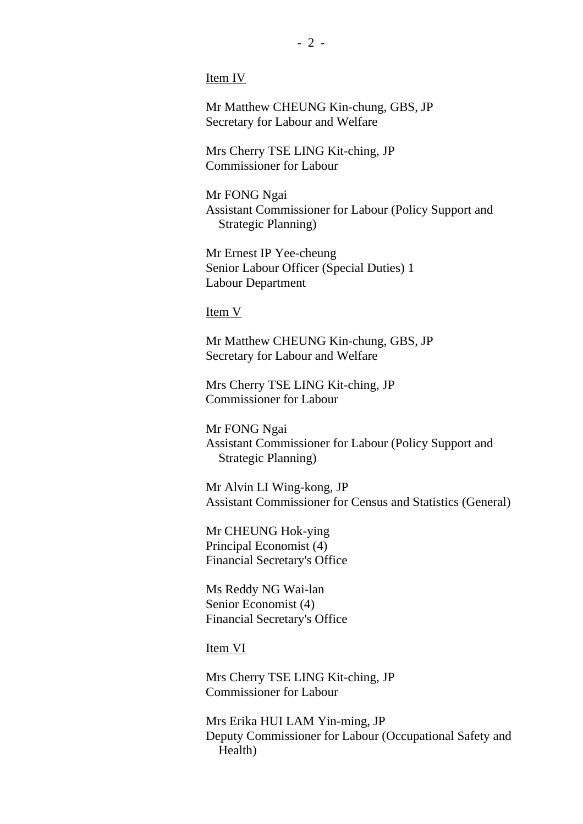Item IV

Mr Matthew CHEUNG Kin-chung, GBS, JP Secretary for Labour and Welfare

Mrs Cherry TSE LING Kit-ching, JP Commissioner for Labour

Mr FONG Ngai Assistant Commissioner for Labour (Policy Support and Strategic Planning)

Mr Ernest IP Yee-cheung Senior Labour Officer (Special Duties) 1 Labour Department

Item V

Mr Matthew CHEUNG Kin-chung, GBS, JP Secretary for Labour and Welfare

Mrs Cherry TSE LING Kit-ching, JP Commissioner for Labour

Mr FONG Ngai Assistant Commissioner for Labour (Policy Support and Strategic Planning)

Mr Alvin LI Wing-kong, JP Assistant Commissioner for Census and Statistics (General)

Mr CHEUNG Hok-ying Principal Economist (4) Financial Secretary's Office

Ms Reddy NG Wai-lan Senior Economist (4) Financial Secretary's Office

Item VI

Mrs Cherry TSE LING Kit-ching, JP Commissioner for Labour

Mrs Erika HUI LAM Yin-ming, JP Deputy Commissioner for Labour (Occupational Safety and Health)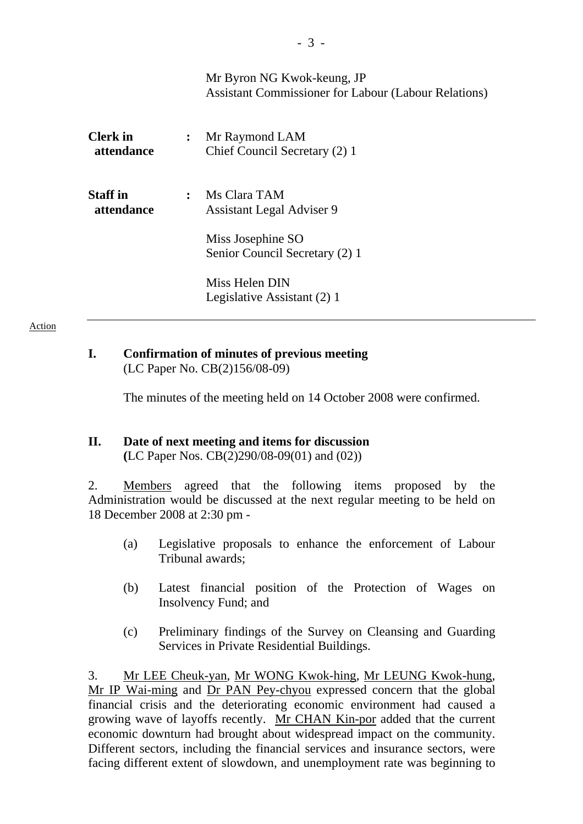|                               |                | Mr Byron NG Kwok-keung, JP<br><b>Assistant Commissioner for Labour (Labour Relations)</b> |
|-------------------------------|----------------|-------------------------------------------------------------------------------------------|
| <b>Clerk</b> in<br>attendance | $\ddot{\cdot}$ | Mr Raymond LAM<br>Chief Council Secretary (2) 1                                           |
| <b>Staff</b> in<br>attendance | $\ddot{\cdot}$ | Ms Clara TAM<br><b>Assistant Legal Adviser 9</b>                                          |
|                               |                | Miss Josephine SO<br>Senior Council Secretary (2) 1                                       |
|                               |                | Miss Helen DIN<br>Legislative Assistant (2) 1                                             |

### **I. Confirmation of minutes of previous meeting**  (LC Paper No. CB(2)156/08-09)

The minutes of the meeting held on 14 October 2008 were confirmed.

### **II. Date of next meeting and items for discussion**

**(**LC Paper Nos. CB(2)290/08-09(01) and (02))

2. Members agreed that the following items proposed by the Administration would be discussed at the next regular meeting to be held on 18 December 2008 at 2:30 pm -

- (a) Legislative proposals to enhance the enforcement of Labour Tribunal awards;
- (b) Latest financial position of the Protection of Wages on Insolvency Fund; and
- (c) Preliminary findings of the Survey on Cleansing and Guarding Services in Private Residential Buildings.

3. Mr LEE Cheuk-yan, Mr WONG Kwok-hing, Mr LEUNG Kwok-hung, Mr IP Wai-ming and Dr PAN Pey-chyou expressed concern that the global financial crisis and the deteriorating economic environment had caused a growing wave of layoffs recently. Mr CHAN Kin-por added that the current economic downturn had brought about widespread impact on the community. Different sectors, including the financial services and insurance sectors, were facing different extent of slowdown, and unemployment rate was beginning to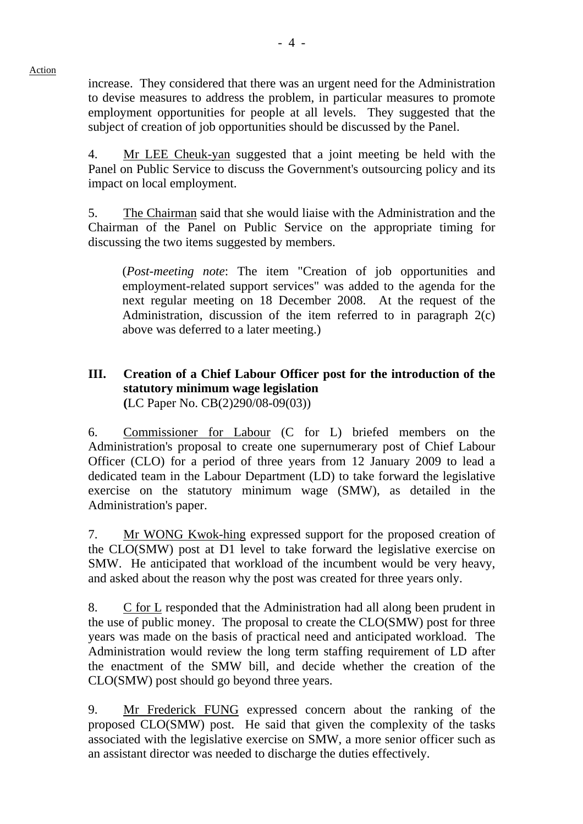increase. They considered that there was an urgent need for the Administration to devise measures to address the problem, in particular measures to promote employment opportunities for people at all levels. They suggested that the

subject of creation of job opportunities should be discussed by the Panel.

4. Mr LEE Cheuk-yan suggested that a joint meeting be held with the Panel on Public Service to discuss the Government's outsourcing policy and its impact on local employment.

5. The Chairman said that she would liaise with the Administration and the Chairman of the Panel on Public Service on the appropriate timing for discussing the two items suggested by members.

(*Post-meeting note*: The item "Creation of job opportunities and employment-related support services" was added to the agenda for the next regular meeting on 18 December 2008. At the request of the Administration, discussion of the item referred to in paragraph 2(c) above was deferred to a later meeting.)

### **III. Creation of a Chief Labour Officer post for the introduction of the statutory minimum wage legislation (**LC Paper No. CB(2)290/08-09(03))

6. Commissioner for Labour (C for L) briefed members on the Administration's proposal to create one supernumerary post of Chief Labour Officer (CLO) for a period of three years from 12 January 2009 to lead a dedicated team in the Labour Department (LD) to take forward the legislative exercise on the statutory minimum wage (SMW), as detailed in the Administration's paper.

7. Mr WONG Kwok-hing expressed support for the proposed creation of the CLO(SMW) post at D1 level to take forward the legislative exercise on SMW. He anticipated that workload of the incumbent would be very heavy, and asked about the reason why the post was created for three years only.

8. C for L responded that the Administration had all along been prudent in the use of public money. The proposal to create the CLO(SMW) post for three years was made on the basis of practical need and anticipated workload. The Administration would review the long term staffing requirement of LD after the enactment of the SMW bill, and decide whether the creation of the CLO(SMW) post should go beyond three years.

9. Mr Frederick FUNG expressed concern about the ranking of the proposed CLO(SMW) post. He said that given the complexity of the tasks associated with the legislative exercise on SMW, a more senior officer such as an assistant director was needed to discharge the duties effectively.

### Action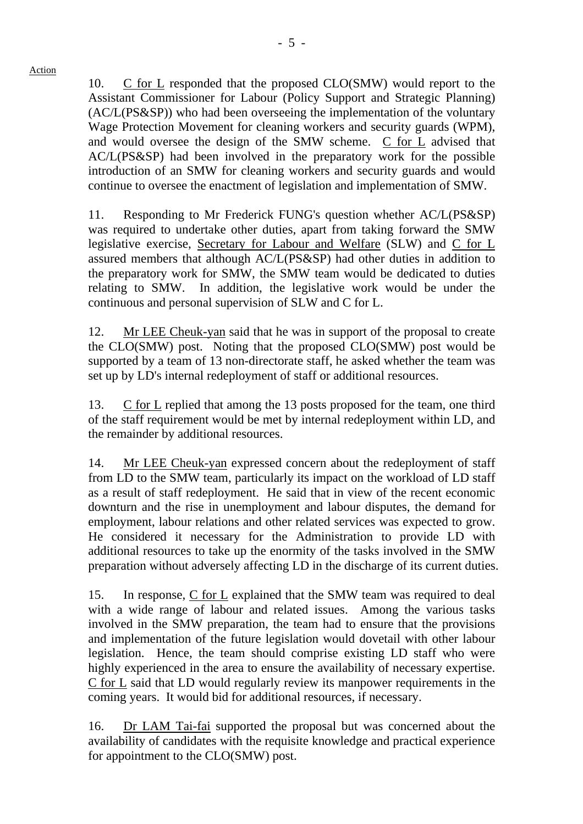10. C for L responded that the proposed CLO(SMW) would report to the Assistant Commissioner for Labour (Policy Support and Strategic Planning) (AC/L(PS&SP)) who had been overseeing the implementation of the voluntary Wage Protection Movement for cleaning workers and security guards (WPM), and would oversee the design of the SMW scheme. C for L advised that AC/L(PS&SP) had been involved in the preparatory work for the possible introduction of an SMW for cleaning workers and security guards and would continue to oversee the enactment of legislation and implementation of SMW.

11. Responding to Mr Frederick FUNG's question whether AC/L(PS&SP) was required to undertake other duties, apart from taking forward the SMW legislative exercise, Secretary for Labour and Welfare (SLW) and C for L assured members that although AC/L(PS&SP) had other duties in addition to the preparatory work for SMW, the SMW team would be dedicated to duties relating to SMW. In addition, the legislative work would be under the continuous and personal supervision of SLW and C for L.

12. Mr LEE Cheuk-yan said that he was in support of the proposal to create the CLO(SMW) post. Noting that the proposed CLO(SMW) post would be supported by a team of 13 non-directorate staff, he asked whether the team was set up by LD's internal redeployment of staff or additional resources.

13. C for L replied that among the 13 posts proposed for the team, one third of the staff requirement would be met by internal redeployment within LD, and the remainder by additional resources.

14. Mr LEE Cheuk-yan expressed concern about the redeployment of staff from LD to the SMW team, particularly its impact on the workload of LD staff as a result of staff redeployment. He said that in view of the recent economic downturn and the rise in unemployment and labour disputes, the demand for employment, labour relations and other related services was expected to grow. He considered it necessary for the Administration to provide LD with additional resources to take up the enormity of the tasks involved in the SMW preparation without adversely affecting LD in the discharge of its current duties.

15. In response, C for L explained that the SMW team was required to deal with a wide range of labour and related issues. Among the various tasks involved in the SMW preparation, the team had to ensure that the provisions and implementation of the future legislation would dovetail with other labour legislation. Hence, the team should comprise existing LD staff who were highly experienced in the area to ensure the availability of necessary expertise. C for L said that LD would regularly review its manpower requirements in the coming years. It would bid for additional resources, if necessary.

16. Dr LAM Tai-fai supported the proposal but was concerned about the availability of candidates with the requisite knowledge and practical experience for appointment to the CLO(SMW) post.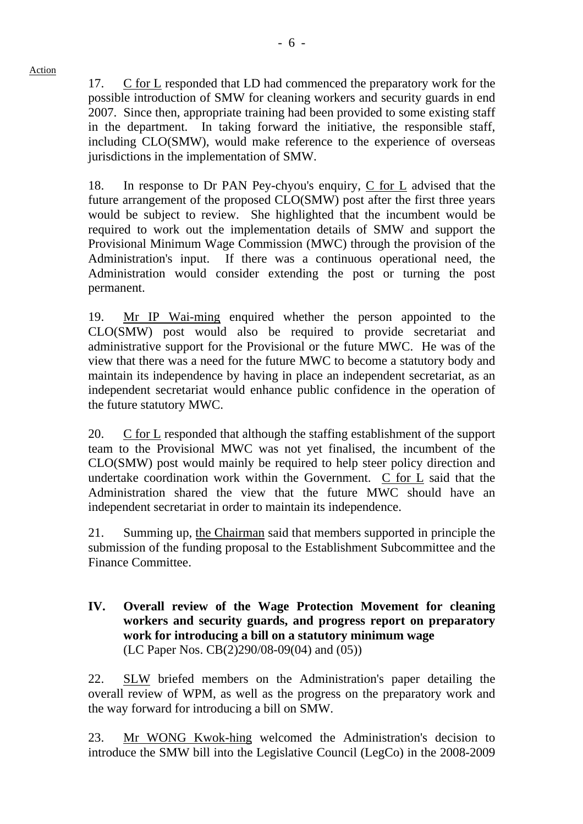17. C for L responded that LD had commenced the preparatory work for the possible introduction of SMW for cleaning workers and security guards in end 2007. Since then, appropriate training had been provided to some existing staff in the department. In taking forward the initiative, the responsible staff, including CLO(SMW), would make reference to the experience of overseas jurisdictions in the implementation of SMW.

18. In response to Dr PAN Pey-chyou's enquiry,  $C$  for  $L$  advised that the future arrangement of the proposed CLO(SMW) post after the first three years would be subject to review. She highlighted that the incumbent would be required to work out the implementation details of SMW and support the Provisional Minimum Wage Commission (MWC) through the provision of the Administration's input. If there was a continuous operational need, the Administration would consider extending the post or turning the post permanent.

19. Mr IP Wai-ming enquired whether the person appointed to the CLO(SMW) post would also be required to provide secretariat and administrative support for the Provisional or the future MWC. He was of the view that there was a need for the future MWC to become a statutory body and maintain its independence by having in place an independent secretariat, as an independent secretariat would enhance public confidence in the operation of the future statutory MWC.

20. C for L responded that although the staffing establishment of the support team to the Provisional MWC was not yet finalised, the incumbent of the CLO(SMW) post would mainly be required to help steer policy direction and undertake coordination work within the Government.  $C$  for  $L$  said that the Administration shared the view that the future MWC should have an independent secretariat in order to maintain its independence.

21. Summing up, the Chairman said that members supported in principle the submission of the funding proposal to the Establishment Subcommittee and the Finance Committee.

### **IV. Overall review of the Wage Protection Movement for cleaning workers and security guards, and progress report on preparatory work for introducing a bill on a statutory minimum wage**  (LC Paper Nos. CB(2)290/08-09(04) and (05))

22. SLW briefed members on the Administration's paper detailing the overall review of WPM, as well as the progress on the preparatory work and the way forward for introducing a bill on SMW.

23. Mr WONG Kwok-hing welcomed the Administration's decision to introduce the SMW bill into the Legislative Council (LegCo) in the 2008-2009

Action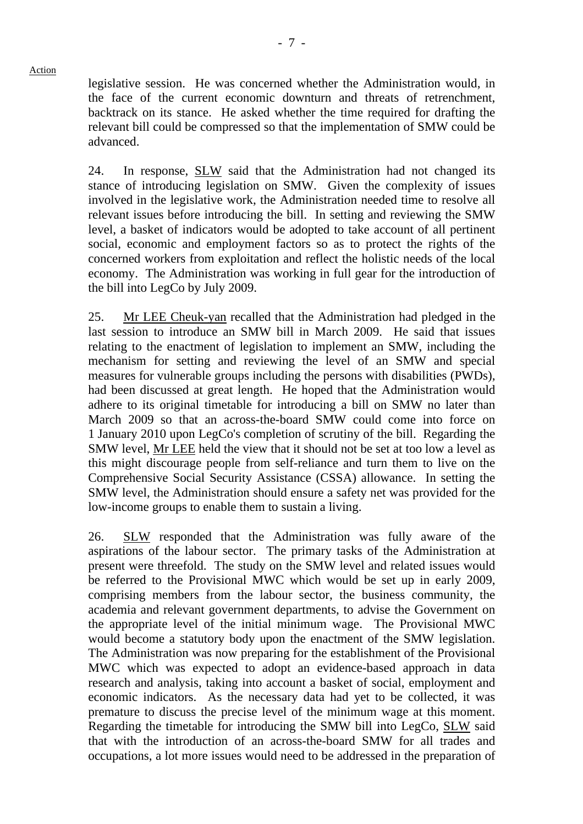legislative session. He was concerned whether the Administration would, in the face of the current economic downturn and threats of retrenchment, backtrack on its stance. He asked whether the time required for drafting the relevant bill could be compressed so that the implementation of SMW could be advanced.

24. In response, SLW said that the Administration had not changed its stance of introducing legislation on SMW. Given the complexity of issues involved in the legislative work, the Administration needed time to resolve all relevant issues before introducing the bill. In setting and reviewing the SMW level, a basket of indicators would be adopted to take account of all pertinent social, economic and employment factors so as to protect the rights of the concerned workers from exploitation and reflect the holistic needs of the local economy. The Administration was working in full gear for the introduction of the bill into LegCo by July 2009.

25. Mr LEE Cheuk-yan recalled that the Administration had pledged in the last session to introduce an SMW bill in March 2009. He said that issues relating to the enactment of legislation to implement an SMW, including the mechanism for setting and reviewing the level of an SMW and special measures for vulnerable groups including the persons with disabilities (PWDs), had been discussed at great length. He hoped that the Administration would adhere to its original timetable for introducing a bill on SMW no later than March 2009 so that an across-the-board SMW could come into force on 1 January 2010 upon LegCo's completion of scrutiny of the bill. Regarding the SMW level, Mr LEE held the view that it should not be set at too low a level as this might discourage people from self-reliance and turn them to live on the Comprehensive Social Security Assistance (CSSA) allowance. In setting the SMW level, the Administration should ensure a safety net was provided for the low-income groups to enable them to sustain a living.

26. SLW responded that the Administration was fully aware of the aspirations of the labour sector. The primary tasks of the Administration at present were threefold. The study on the SMW level and related issues would be referred to the Provisional MWC which would be set up in early 2009, comprising members from the labour sector, the business community, the academia and relevant government departments, to advise the Government on the appropriate level of the initial minimum wage. The Provisional MWC would become a statutory body upon the enactment of the SMW legislation. The Administration was now preparing for the establishment of the Provisional MWC which was expected to adopt an evidence-based approach in data research and analysis, taking into account a basket of social, employment and economic indicators. As the necessary data had yet to be collected, it was premature to discuss the precise level of the minimum wage at this moment. Regarding the timetable for introducing the SMW bill into LegCo, SLW said that with the introduction of an across-the-board SMW for all trades and occupations, a lot more issues would need to be addressed in the preparation of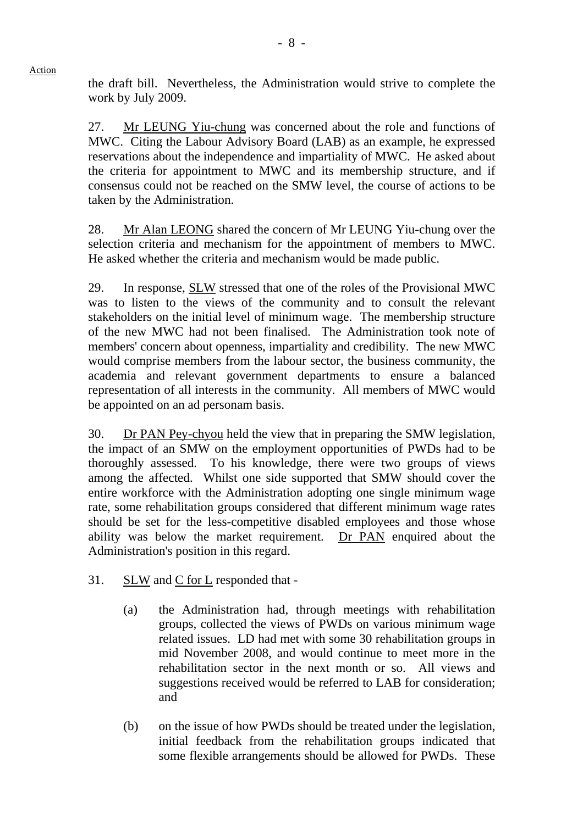the draft bill. Nevertheless, the Administration would strive to complete the work by July 2009.

27. Mr LEUNG Yiu-chung was concerned about the role and functions of MWC. Citing the Labour Advisory Board (LAB) as an example, he expressed reservations about the independence and impartiality of MWC. He asked about the criteria for appointment to MWC and its membership structure, and if consensus could not be reached on the SMW level, the course of actions to be taken by the Administration.

28. Mr Alan LEONG shared the concern of Mr LEUNG Yiu-chung over the selection criteria and mechanism for the appointment of members to MWC. He asked whether the criteria and mechanism would be made public.

29. In response, SLW stressed that one of the roles of the Provisional MWC was to listen to the views of the community and to consult the relevant stakeholders on the initial level of minimum wage. The membership structure of the new MWC had not been finalised. The Administration took note of members' concern about openness, impartiality and credibility. The new MWC would comprise members from the labour sector, the business community, the academia and relevant government departments to ensure a balanced representation of all interests in the community. All members of MWC would be appointed on an ad personam basis.

30. Dr PAN Pey-chyou held the view that in preparing the SMW legislation, the impact of an SMW on the employment opportunities of PWDs had to be thoroughly assessed. To his knowledge, there were two groups of views among the affected. Whilst one side supported that SMW should cover the entire workforce with the Administration adopting one single minimum wage rate, some rehabilitation groups considered that different minimum wage rates should be set for the less-competitive disabled employees and those whose ability was below the market requirement. Dr PAN enquired about the Administration's position in this regard.

- 31. SLW and C for L responded that
	- (a) the Administration had, through meetings with rehabilitation groups, collected the views of PWDs on various minimum wage related issues. LD had met with some 30 rehabilitation groups in mid November 2008, and would continue to meet more in the rehabilitation sector in the next month or so. All views and suggestions received would be referred to LAB for consideration; and
	- (b) on the issue of how PWDs should be treated under the legislation, initial feedback from the rehabilitation groups indicated that some flexible arrangements should be allowed for PWDs. These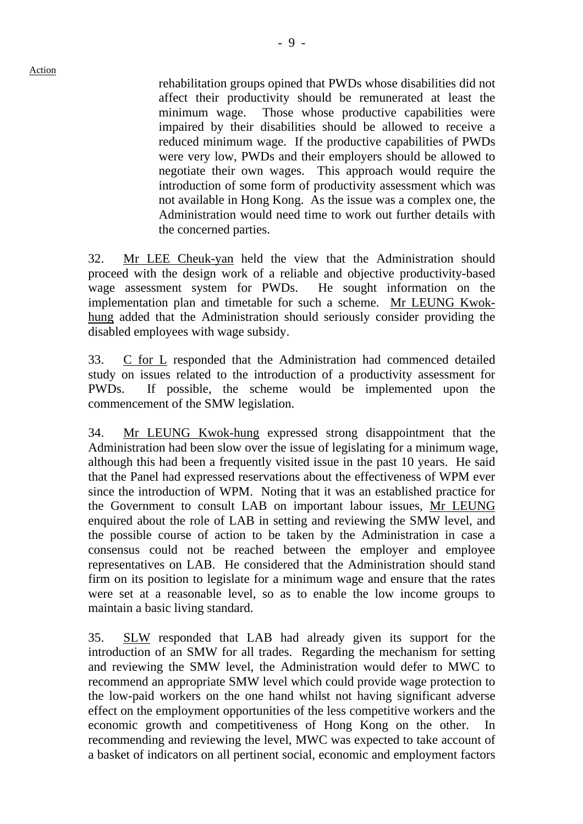rehabilitation groups opined that PWDs whose disabilities did not affect their productivity should be remunerated at least the minimum wage. Those whose productive capabilities were impaired by their disabilities should be allowed to receive a reduced minimum wage. If the productive capabilities of PWDs were very low, PWDs and their employers should be allowed to negotiate their own wages. This approach would require the introduction of some form of productivity assessment which was not available in Hong Kong. As the issue was a complex one, the Administration would need time to work out further details with the concerned parties.

32. Mr LEE Cheuk-yan held the view that the Administration should proceed with the design work of a reliable and objective productivity-based wage assessment system for PWDs. He sought information on the implementation plan and timetable for such a scheme. Mr LEUNG Kwokhung added that the Administration should seriously consider providing the disabled employees with wage subsidy.

33. C for L responded that the Administration had commenced detailed study on issues related to the introduction of a productivity assessment for PWDs. If possible, the scheme would be implemented upon the commencement of the SMW legislation.

34. Mr LEUNG Kwok-hung expressed strong disappointment that the Administration had been slow over the issue of legislating for a minimum wage, although this had been a frequently visited issue in the past 10 years. He said that the Panel had expressed reservations about the effectiveness of WPM ever since the introduction of WPM. Noting that it was an established practice for the Government to consult LAB on important labour issues, Mr LEUNG enquired about the role of LAB in setting and reviewing the SMW level, and the possible course of action to be taken by the Administration in case a consensus could not be reached between the employer and employee representatives on LAB. He considered that the Administration should stand firm on its position to legislate for a minimum wage and ensure that the rates were set at a reasonable level, so as to enable the low income groups to maintain a basic living standard.

35. SLW responded that LAB had already given its support for the introduction of an SMW for all trades. Regarding the mechanism for setting and reviewing the SMW level, the Administration would defer to MWC to recommend an appropriate SMW level which could provide wage protection to the low-paid workers on the one hand whilst not having significant adverse effect on the employment opportunities of the less competitive workers and the economic growth and competitiveness of Hong Kong on the other. In recommending and reviewing the level, MWC was expected to take account of a basket of indicators on all pertinent social, economic and employment factors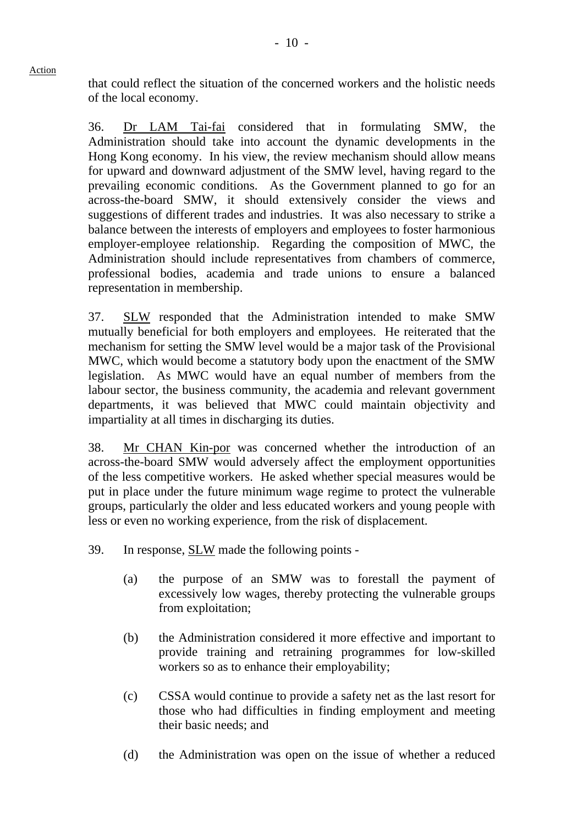that could reflect the situation of the concerned workers and the holistic needs of the local economy.

36. Dr LAM Tai-fai considered that in formulating SMW, the Administration should take into account the dynamic developments in the Hong Kong economy. In his view, the review mechanism should allow means for upward and downward adjustment of the SMW level, having regard to the prevailing economic conditions. As the Government planned to go for an across-the-board SMW, it should extensively consider the views and suggestions of different trades and industries. It was also necessary to strike a balance between the interests of employers and employees to foster harmonious employer-employee relationship. Regarding the composition of MWC, the Administration should include representatives from chambers of commerce, professional bodies, academia and trade unions to ensure a balanced representation in membership.

37. SLW responded that the Administration intended to make SMW mutually beneficial for both employers and employees. He reiterated that the mechanism for setting the SMW level would be a major task of the Provisional MWC, which would become a statutory body upon the enactment of the SMW legislation. As MWC would have an equal number of members from the labour sector, the business community, the academia and relevant government departments, it was believed that MWC could maintain objectivity and impartiality at all times in discharging its duties.

38. Mr CHAN Kin-por was concerned whether the introduction of an across-the-board SMW would adversely affect the employment opportunities of the less competitive workers. He asked whether special measures would be put in place under the future minimum wage regime to protect the vulnerable groups, particularly the older and less educated workers and young people with less or even no working experience, from the risk of displacement.

- 39. In response, SLW made the following points
	- (a) the purpose of an SMW was to forestall the payment of excessively low wages, thereby protecting the vulnerable groups from exploitation;
	- (b) the Administration considered it more effective and important to provide training and retraining programmes for low-skilled workers so as to enhance their employability;
	- (c) CSSA would continue to provide a safety net as the last resort for those who had difficulties in finding employment and meeting their basic needs; and
	- (d) the Administration was open on the issue of whether a reduced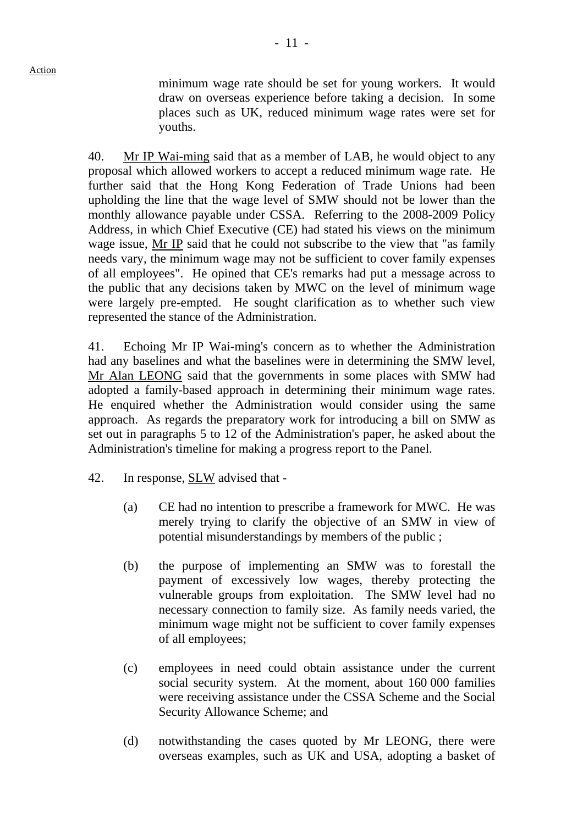minimum wage rate should be set for young workers. It would draw on overseas experience before taking a decision. In some places such as UK, reduced minimum wage rates were set for youths.

40. Mr IP Wai-ming said that as a member of LAB, he would object to any proposal which allowed workers to accept a reduced minimum wage rate. He further said that the Hong Kong Federation of Trade Unions had been upholding the line that the wage level of SMW should not be lower than the monthly allowance payable under CSSA. Referring to the 2008-2009 Policy Address, in which Chief Executive (CE) had stated his views on the minimum wage issue, Mr IP said that he could not subscribe to the view that "as family needs vary, the minimum wage may not be sufficient to cover family expenses of all employees". He opined that CE's remarks had put a message across to the public that any decisions taken by MWC on the level of minimum wage were largely pre-empted. He sought clarification as to whether such view represented the stance of the Administration.

41. Echoing Mr IP Wai-ming's concern as to whether the Administration had any baselines and what the baselines were in determining the SMW level, Mr Alan LEONG said that the governments in some places with SMW had adopted a family-based approach in determining their minimum wage rates. He enquired whether the Administration would consider using the same approach. As regards the preparatory work for introducing a bill on SMW as set out in paragraphs 5 to 12 of the Administration's paper, he asked about the Administration's timeline for making a progress report to the Panel.

- 42. In response, SLW advised that
	- (a) CE had no intention to prescribe a framework for MWC. He was merely trying to clarify the objective of an SMW in view of potential misunderstandings by members of the public ;
	- (b) the purpose of implementing an SMW was to forestall the payment of excessively low wages, thereby protecting the vulnerable groups from exploitation. The SMW level had no necessary connection to family size. As family needs varied, the minimum wage might not be sufficient to cover family expenses of all employees;
	- (c) employees in need could obtain assistance under the current social security system. At the moment, about 160 000 families were receiving assistance under the CSSA Scheme and the Social Security Allowance Scheme; and
	- (d) notwithstanding the cases quoted by Mr LEONG, there were overseas examples, such as UK and USA, adopting a basket of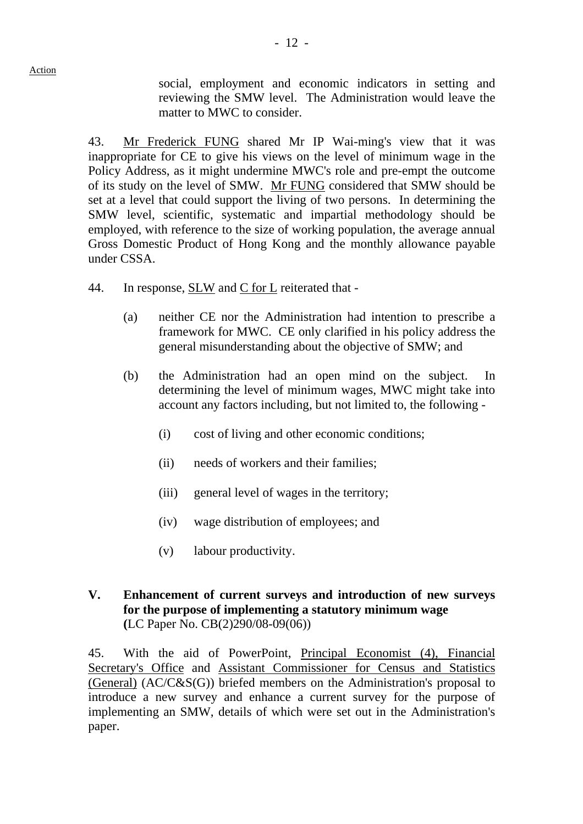social, employment and economic indicators in setting and reviewing the SMW level. The Administration would leave the matter to MWC to consider.

43. Mr Frederick FUNG shared Mr IP Wai-ming's view that it was inappropriate for CE to give his views on the level of minimum wage in the Policy Address, as it might undermine MWC's role and pre-empt the outcome of its study on the level of SMW. Mr FUNG considered that SMW should be set at a level that could support the living of two persons. In determining the SMW level, scientific, systematic and impartial methodology should be employed, with reference to the size of working population, the average annual Gross Domestic Product of Hong Kong and the monthly allowance payable under CSSA.

- 44. In response, SLW and C for L reiterated that
	- (a) neither CE nor the Administration had intention to prescribe a framework for MWC. CE only clarified in his policy address the general misunderstanding about the objective of SMW; and
	- (b) the Administration had an open mind on the subject. In determining the level of minimum wages, MWC might take into account any factors including, but not limited to, the following -
		- (i) cost of living and other economic conditions;
		- (ii) needs of workers and their families;
		- (iii) general level of wages in the territory;
		- (iv) wage distribution of employees; and
		- (v) labour productivity.
- **V. Enhancement of current surveys and introduction of new surveys for the purpose of implementing a statutory minimum wage (**LC Paper No. CB(2)290/08-09(06))

45. With the aid of PowerPoint, Principal Economist (4), Financial Secretary's Office and Assistant Commissioner for Census and Statistics (General) (AC/C&S(G)) briefed members on the Administration's proposal to introduce a new survey and enhance a current survey for the purpose of implementing an SMW, details of which were set out in the Administration's paper.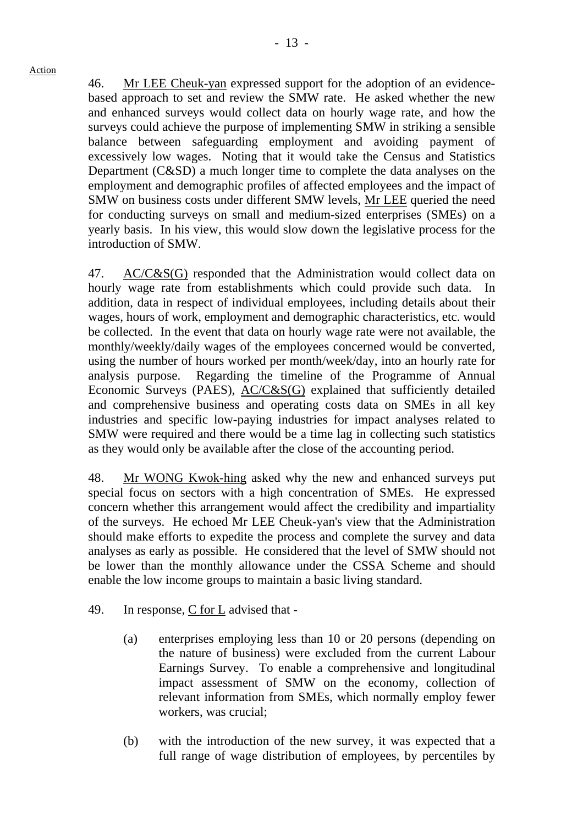46. Mr LEE Cheuk-yan expressed support for the adoption of an evidencebased approach to set and review the SMW rate. He asked whether the new and enhanced surveys would collect data on hourly wage rate, and how the surveys could achieve the purpose of implementing SMW in striking a sensible balance between safeguarding employment and avoiding payment of excessively low wages. Noting that it would take the Census and Statistics Department (C&SD) a much longer time to complete the data analyses on the employment and demographic profiles of affected employees and the impact of SMW on business costs under different SMW levels, Mr LEE queried the need for conducting surveys on small and medium-sized enterprises (SMEs) on a yearly basis. In his view, this would slow down the legislative process for the introduction of SMW.

47. AC/C&S(G) responded that the Administration would collect data on hourly wage rate from establishments which could provide such data. addition, data in respect of individual employees, including details about their wages, hours of work, employment and demographic characteristics, etc. would be collected. In the event that data on hourly wage rate were not available, the monthly/weekly/daily wages of the employees concerned would be converted, using the number of hours worked per month/week/day, into an hourly rate for analysis purpose. Regarding the timeline of the Programme of Annual Economic Surveys (PAES), AC/C&S(G) explained that sufficiently detailed and comprehensive business and operating costs data on SMEs in all key industries and specific low-paying industries for impact analyses related to SMW were required and there would be a time lag in collecting such statistics as they would only be available after the close of the accounting period.

48. Mr WONG Kwok-hing asked why the new and enhanced surveys put special focus on sectors with a high concentration of SMEs. He expressed concern whether this arrangement would affect the credibility and impartiality of the surveys. He echoed Mr LEE Cheuk-yan's view that the Administration should make efforts to expedite the process and complete the survey and data analyses as early as possible. He considered that the level of SMW should not be lower than the monthly allowance under the CSSA Scheme and should enable the low income groups to maintain a basic living standard.

- 49. In response, C for L advised that
	- (a) enterprises employing less than 10 or 20 persons (depending on the nature of business) were excluded from the current Labour Earnings Survey. To enable a comprehensive and longitudinal impact assessment of SMW on the economy, collection of relevant information from SMEs, which normally employ fewer workers, was crucial;
	- (b) with the introduction of the new survey, it was expected that a full range of wage distribution of employees, by percentiles by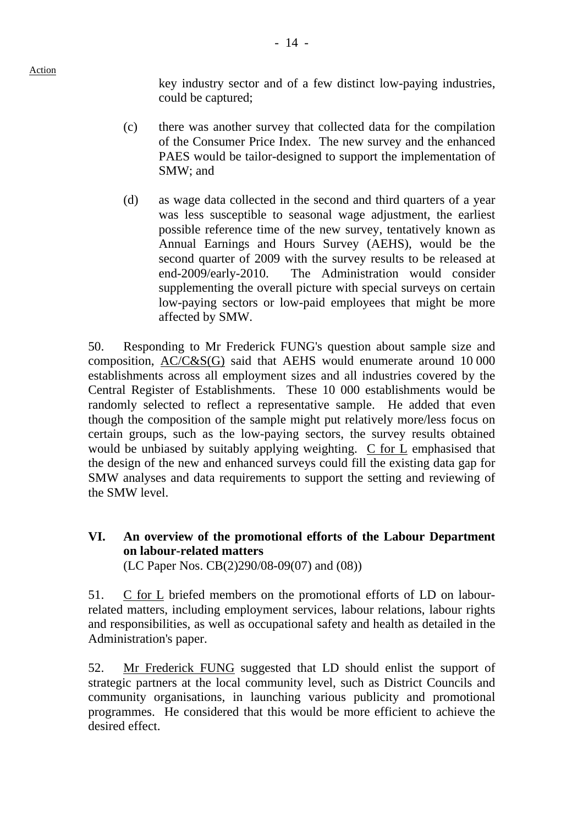key industry sector and of a few distinct low-paying industries, could be captured;

- (c) there was another survey that collected data for the compilation of the Consumer Price Index. The new survey and the enhanced PAES would be tailor-designed to support the implementation of SMW; and
- (d) as wage data collected in the second and third quarters of a year was less susceptible to seasonal wage adjustment, the earliest possible reference time of the new survey, tentatively known as Annual Earnings and Hours Survey (AEHS), would be the second quarter of 2009 with the survey results to be released at end-2009/early-2010. The Administration would consider supplementing the overall picture with special surveys on certain low-paying sectors or low-paid employees that might be more affected by SMW.

50. Responding to Mr Frederick FUNG's question about sample size and composition, AC/C&S(G) said that AEHS would enumerate around 10 000 establishments across all employment sizes and all industries covered by the Central Register of Establishments. These 10 000 establishments would be randomly selected to reflect a representative sample. He added that even though the composition of the sample might put relatively more/less focus on certain groups, such as the low-paying sectors, the survey results obtained would be unbiased by suitably applying weighting. C for L emphasised that the design of the new and enhanced surveys could fill the existing data gap for SMW analyses and data requirements to support the setting and reviewing of the SMW level.

## **VI. An overview of the promotional efforts of the Labour Department on labour-related matters**

(LC Paper Nos. CB(2)290/08-09(07) and (08))

51. C for L briefed members on the promotional efforts of LD on labourrelated matters, including employment services, labour relations, labour rights and responsibilities, as well as occupational safety and health as detailed in the Administration's paper.

52. Mr Frederick FUNG suggested that LD should enlist the support of strategic partners at the local community level, such as District Councils and community organisations, in launching various publicity and promotional programmes. He considered that this would be more efficient to achieve the desired effect.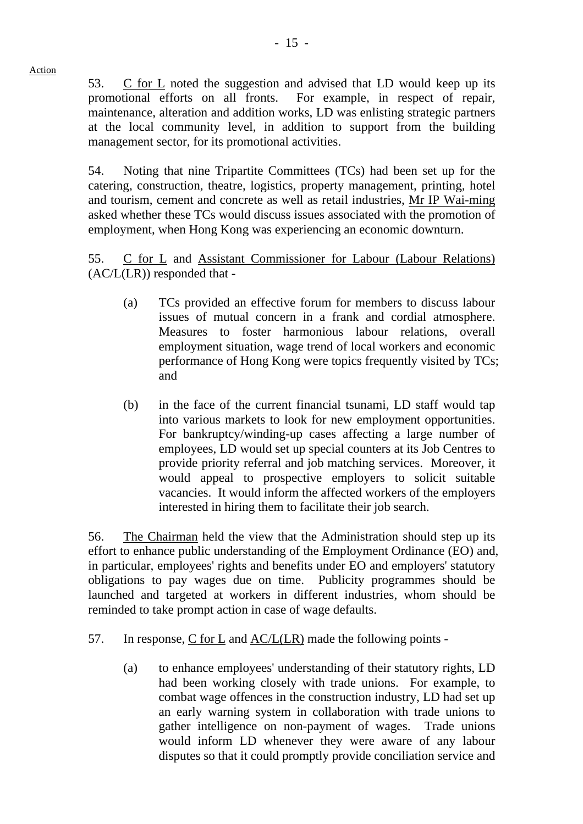53. C for L noted the suggestion and advised that LD would keep up its promotional efforts on all fronts. For example, in respect of repair, maintenance, alteration and addition works, LD was enlisting strategic partners at the local community level, in addition to support from the building management sector, for its promotional activities.

54. Noting that nine Tripartite Committees (TCs) had been set up for the catering, construction, theatre, logistics, property management, printing, hotel and tourism, cement and concrete as well as retail industries, Mr IP Wai-ming asked whether these TCs would discuss issues associated with the promotion of employment, when Hong Kong was experiencing an economic downturn.

55. C for L and Assistant Commissioner for Labour (Labour Relations) (AC/L(LR)) responded that -

- (a) TCs provided an effective forum for members to discuss labour issues of mutual concern in a frank and cordial atmosphere. Measures to foster harmonious labour relations, overall employment situation, wage trend of local workers and economic performance of Hong Kong were topics frequently visited by TCs; and
- (b) in the face of the current financial tsunami, LD staff would tap into various markets to look for new employment opportunities. For bankruptcy/winding-up cases affecting a large number of employees, LD would set up special counters at its Job Centres to provide priority referral and job matching services. Moreover, it would appeal to prospective employers to solicit suitable vacancies. It would inform the affected workers of the employers interested in hiring them to facilitate their job search.

56. The Chairman held the view that the Administration should step up its effort to enhance public understanding of the Employment Ordinance (EO) and, in particular, employees' rights and benefits under EO and employers' statutory obligations to pay wages due on time. Publicity programmes should be launched and targeted at workers in different industries, whom should be reminded to take prompt action in case of wage defaults.

- 57. In response, C for L and AC/L(LR) made the following points
	- (a) to enhance employees' understanding of their statutory rights, LD had been working closely with trade unions. For example, to combat wage offences in the construction industry, LD had set up an early warning system in collaboration with trade unions to gather intelligence on non-payment of wages. Trade unions would inform LD whenever they were aware of any labour disputes so that it could promptly provide conciliation service and